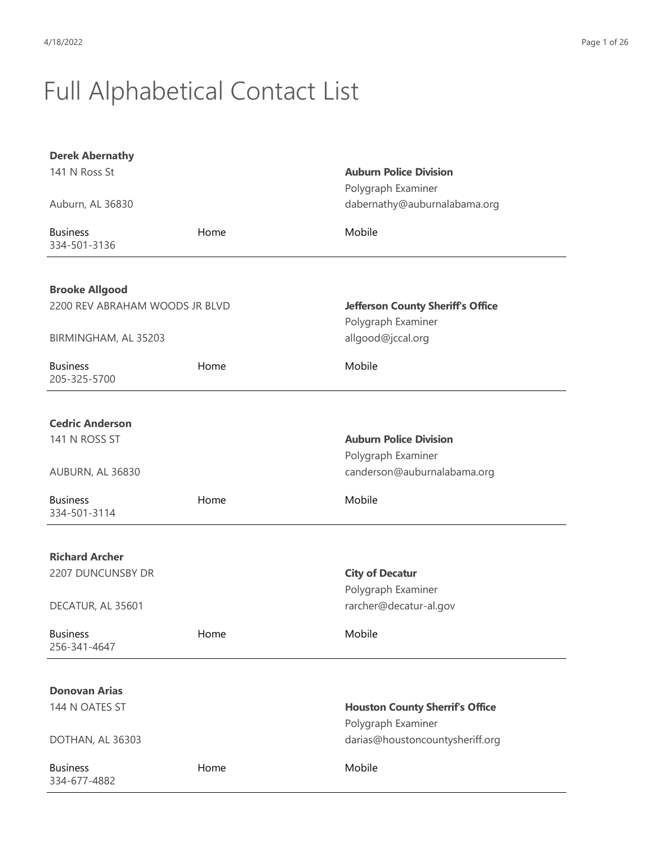| <b>Derek Abernathy</b>          |      |                                          |
|---------------------------------|------|------------------------------------------|
| 141 N Ross St                   |      | <b>Auburn Police Division</b>            |
|                                 |      | Polygraph Examiner                       |
| Auburn, AL 36830                |      | dabernathy@auburnalabama.org             |
| <b>Business</b><br>334-501-3136 | Home | Mobile                                   |
|                                 |      |                                          |
| <b>Brooke Allgood</b>           |      |                                          |
| 2200 REV ABRAHAM WOODS JR BLVD  |      | <b>Jefferson County Sheriff's Office</b> |
|                                 |      | Polygraph Examiner                       |
| BIRMINGHAM, AL 35203            |      | allgood@jccal.org                        |
| <b>Business</b><br>205-325-5700 | Home | Mobile                                   |
|                                 |      |                                          |
| <b>Cedric Anderson</b>          |      |                                          |
| 141 N ROSS ST                   |      | <b>Auburn Police Division</b>            |
|                                 |      | Polygraph Examiner                       |
| AUBURN, AL 36830                |      | canderson@auburnalabama.org              |
| <b>Business</b><br>334-501-3114 | Home | Mobile                                   |
|                                 |      |                                          |
| <b>Richard Archer</b>           |      |                                          |
| 2207 DUNCUNSBY DR               |      | <b>City of Decatur</b>                   |
|                                 |      | Polygraph Examiner                       |
| DECATUR, AL 35601               |      | rarcher@decatur-al.gov                   |
| <b>Business</b><br>256-341-4647 | Home | Mobile                                   |
|                                 |      |                                          |
| <b>Donovan Arias</b>            |      |                                          |
| 144 N OATES ST                  |      | <b>Houston County Sherrif's Office</b>   |
|                                 |      | Polygraph Examiner                       |
| DOTHAN, AL 36303                |      | darias@houstoncountysheriff.org          |
| <b>Business</b><br>334-677-4882 | Home | Mobile                                   |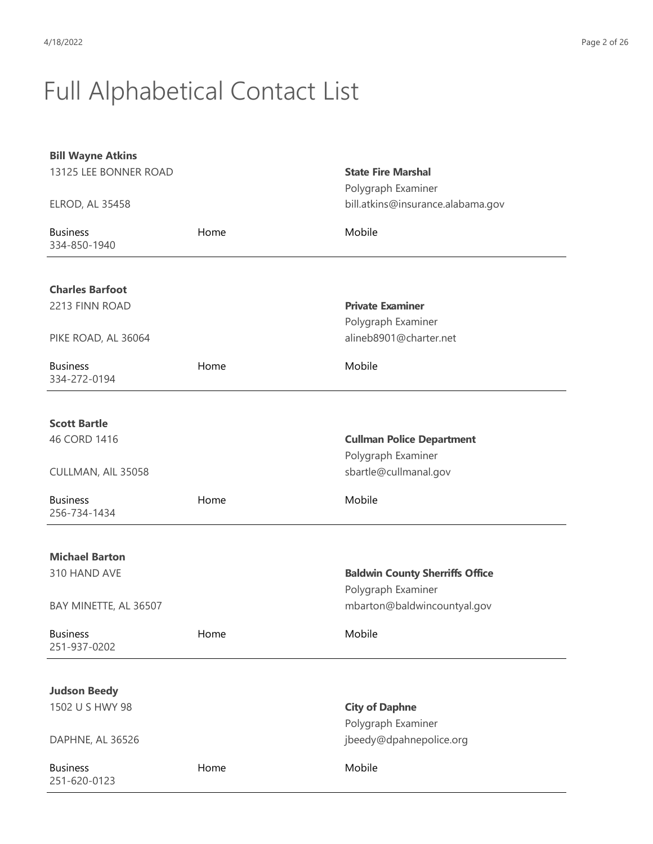| <b>Bill Wayne Atkins</b>        |      |                                        |
|---------------------------------|------|----------------------------------------|
| 13125 LEE BONNER ROAD           |      | <b>State Fire Marshal</b>              |
|                                 |      | Polygraph Examiner                     |
| <b>ELROD, AL 35458</b>          |      | bill.atkins@insurance.alabama.gov      |
| <b>Business</b><br>334-850-1940 | Home | Mobile                                 |
|                                 |      |                                        |
| <b>Charles Barfoot</b>          |      |                                        |
| 2213 FINN ROAD                  |      | <b>Private Examiner</b>                |
|                                 |      | Polygraph Examiner                     |
| PIKE ROAD, AL 36064             |      | alineb8901@charter.net                 |
| <b>Business</b><br>334-272-0194 | Home | Mobile                                 |
|                                 |      |                                        |
| <b>Scott Bartle</b>             |      |                                        |
| 46 CORD 1416                    |      | <b>Cullman Police Department</b>       |
|                                 |      | Polygraph Examiner                     |
| CULLMAN, AIL 35058              |      | sbartle@cullmanal.gov                  |
| <b>Business</b><br>256-734-1434 | Home | Mobile                                 |
|                                 |      |                                        |
| <b>Michael Barton</b>           |      |                                        |
| 310 HAND AVE                    |      | <b>Baldwin County Sherriffs Office</b> |
|                                 |      | Polygraph Examiner                     |
| BAY MINETTE, AL 36507           |      | mbarton@baldwincountyal.gov            |
| <b>Business</b><br>251-937-0202 | Home | Mobile                                 |
|                                 |      |                                        |
| <b>Judson Beedy</b>             |      |                                        |
| 1502 U S HWY 98                 |      | <b>City of Daphne</b>                  |
|                                 |      | Polygraph Examiner                     |
| DAPHNE, AL 36526                |      | jbeedy@dpahnepolice.org                |
| <b>Business</b><br>251-620-0123 | Home | Mobile                                 |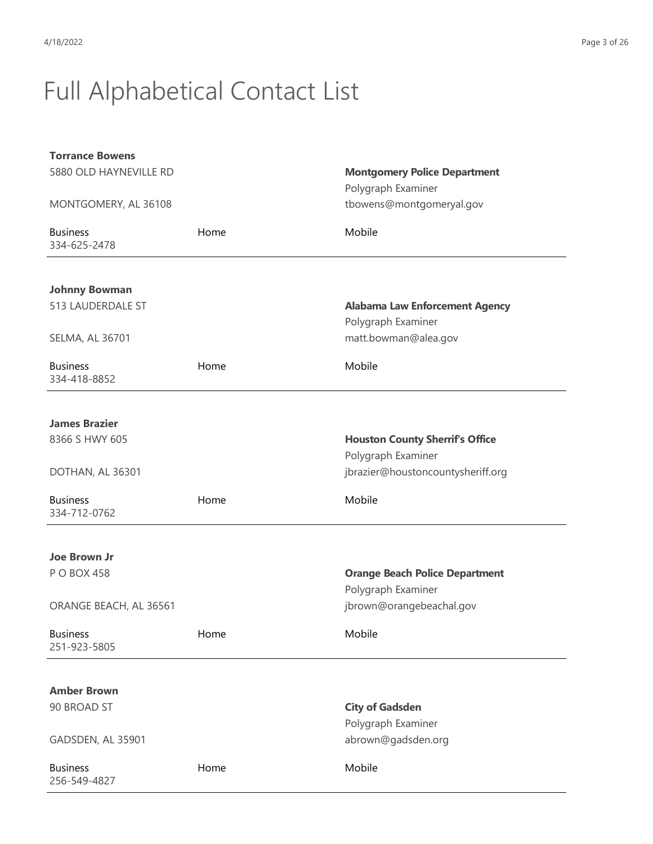| <b>Torrance Bowens</b>          |      |                                        |
|---------------------------------|------|----------------------------------------|
| 5880 OLD HAYNEVILLE RD          |      | <b>Montgomery Police Department</b>    |
|                                 |      | Polygraph Examiner                     |
| MONTGOMERY, AL 36108            |      | tbowens@montgomeryal.gov               |
| <b>Business</b><br>334-625-2478 | Home | Mobile                                 |
| <b>Johnny Bowman</b>            |      |                                        |
| 513 LAUDERDALE ST               |      | <b>Alabama Law Enforcement Agency</b>  |
|                                 |      | Polygraph Examiner                     |
| SELMA, AL 36701                 |      | matt.bowman@alea.gov                   |
|                                 |      |                                        |
| <b>Business</b><br>334-418-8852 | Home | Mobile                                 |
|                                 |      |                                        |
| <b>James Brazier</b>            |      |                                        |
| 8366 S HWY 605                  |      | <b>Houston County Sherrif's Office</b> |
|                                 |      | Polygraph Examiner                     |
| DOTHAN, AL 36301                |      | jbrazier@houstoncountysheriff.org      |
|                                 |      |                                        |
| <b>Business</b><br>334-712-0762 | Home | Mobile                                 |
|                                 |      |                                        |
| <b>Joe Brown Jr</b>             |      |                                        |
| P O BOX 458                     |      | <b>Orange Beach Police Department</b>  |
|                                 |      | Polygraph Examiner                     |
| ORANGE BEACH, AL 36561          |      | jbrown@orangebeachal.gov               |
|                                 |      |                                        |
| <b>Business</b><br>251-923-5805 | Home | Mobile                                 |
|                                 |      |                                        |
| <b>Amber Brown</b>              |      |                                        |
| 90 BROAD ST                     |      | <b>City of Gadsden</b>                 |
|                                 |      | Polygraph Examiner                     |
| GADSDEN, AL 35901               |      | abrown@gadsden.org                     |
|                                 |      |                                        |
| <b>Business</b><br>256-549-4827 | Home | Mobile                                 |
|                                 |      |                                        |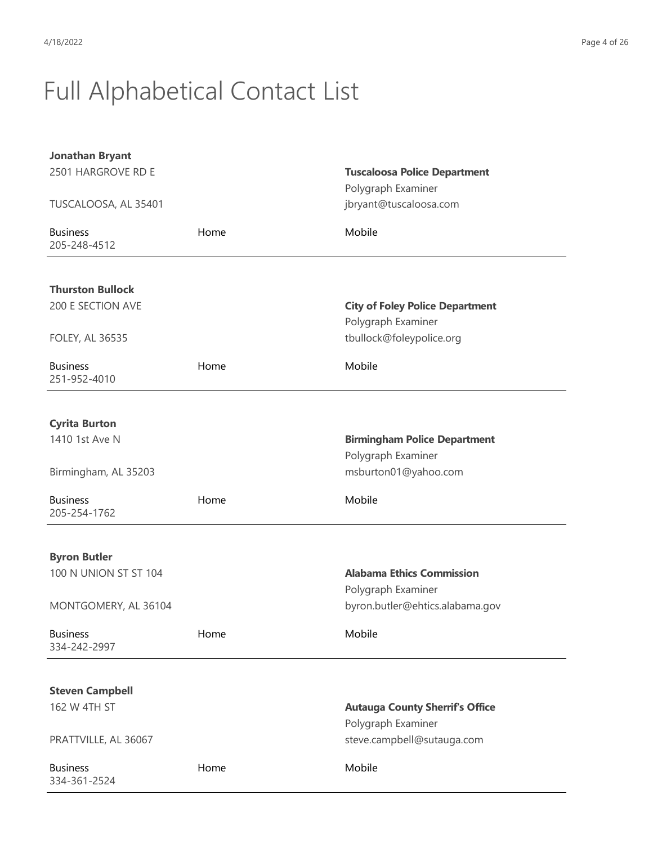| <b>Jonathan Bryant</b>          |      |                                        |
|---------------------------------|------|----------------------------------------|
| 2501 HARGROVE RD E              |      | <b>Tuscaloosa Police Department</b>    |
|                                 |      | Polygraph Examiner                     |
| TUSCALOOSA, AL 35401            |      | jbryant@tuscaloosa.com                 |
| <b>Business</b><br>205-248-4512 | Home | Mobile                                 |
|                                 |      |                                        |
| <b>Thurston Bullock</b>         |      |                                        |
| 200 E SECTION AVE               |      | <b>City of Foley Police Department</b> |
|                                 |      | Polygraph Examiner                     |
| <b>FOLEY, AL 36535</b>          |      | tbullock@foleypolice.org               |
| <b>Business</b><br>251-952-4010 | Home | Mobile                                 |
|                                 |      |                                        |
| <b>Cyrita Burton</b>            |      |                                        |
| 1410 1st Ave N                  |      | <b>Birmingham Police Department</b>    |
|                                 |      | Polygraph Examiner                     |
| Birmingham, AL 35203            |      | msburton01@yahoo.com                   |
| <b>Business</b><br>205-254-1762 | Home | Mobile                                 |
|                                 |      |                                        |
| <b>Byron Butler</b>             |      |                                        |
| 100 N UNION ST ST 104           |      | <b>Alabama Ethics Commission</b>       |
|                                 |      | Polygraph Examiner                     |
| MONTGOMERY, AL 36104            |      | byron.butler@ehtics.alabama.gov        |
| <b>Business</b><br>334-242-2997 | Home | Mobile                                 |
|                                 |      |                                        |
| <b>Steven Campbell</b>          |      |                                        |
| 162 W 4TH ST                    |      | <b>Autauga County Sherrif's Office</b> |
|                                 |      | Polygraph Examiner                     |
| PRATTVILLE, AL 36067            |      | steve.campbell@sutauga.com             |
| <b>Business</b><br>334-361-2524 | Home | Mobile                                 |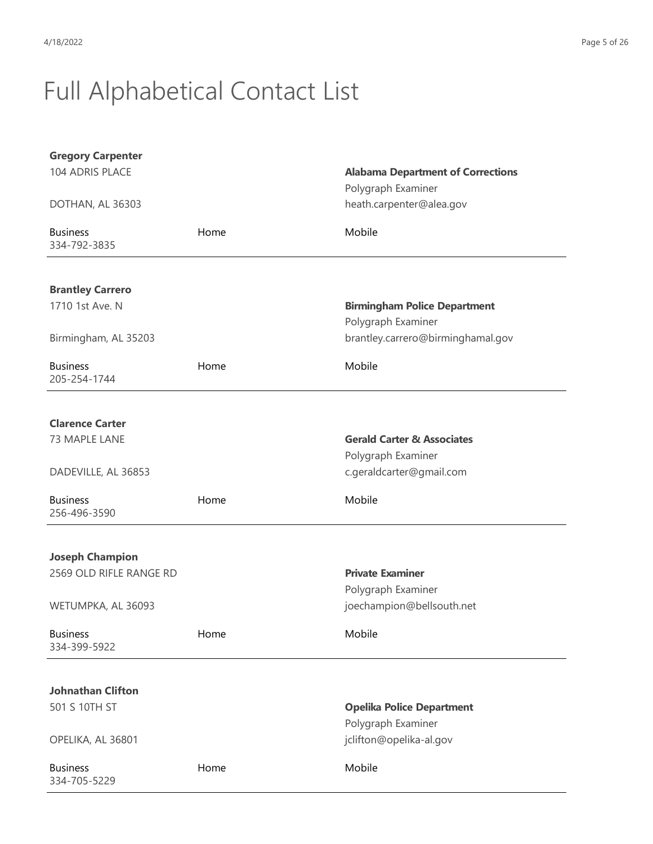| <b>Gregory Carpenter</b>                   |      |                                          |
|--------------------------------------------|------|------------------------------------------|
| 104 ADRIS PLACE                            |      | <b>Alabama Department of Corrections</b> |
|                                            |      | Polygraph Examiner                       |
| DOTHAN, AL 36303                           |      | heath.carpenter@alea.gov                 |
| <b>Business</b>                            | Home | Mobile                                   |
| 334-792-3835                               |      |                                          |
|                                            |      |                                          |
| <b>Brantley Carrero</b><br>1710 1st Ave. N |      | <b>Birmingham Police Department</b>      |
|                                            |      | Polygraph Examiner                       |
| Birmingham, AL 35203                       |      | brantley.carrero@birminghamal.gov        |
|                                            |      |                                          |
| <b>Business</b>                            | Home | Mobile                                   |
| 205-254-1744                               |      |                                          |
|                                            |      |                                          |
| <b>Clarence Carter</b>                     |      |                                          |
| 73 MAPLE LANE                              |      | <b>Gerald Carter &amp; Associates</b>    |
|                                            |      | Polygraph Examiner                       |
| DADEVILLE, AL 36853                        |      | c.geraldcarter@gmail.com                 |
| <b>Business</b>                            | Home | Mobile                                   |
| 256-496-3590                               |      |                                          |
|                                            |      |                                          |
| <b>Joseph Champion</b>                     |      |                                          |
| 2569 OLD RIFLE RANGE RD                    |      | <b>Private Examiner</b>                  |
|                                            |      | Polygraph Examiner                       |
| WETUMPKA, AL 36093                         |      | joechampion@bellsouth.net                |
| <b>Business</b>                            | Home | Mobile                                   |
| 334-399-5922                               |      |                                          |
|                                            |      |                                          |
| <b>Johnathan Clifton</b>                   |      |                                          |
| 501 S 10TH ST                              |      | <b>Opelika Police Department</b>         |
|                                            |      | Polygraph Examiner                       |
| OPELIKA, AL 36801                          |      | jclifton@opelika-al.gov                  |
| <b>Business</b>                            | Home | Mobile                                   |
| 334-705-5229                               |      |                                          |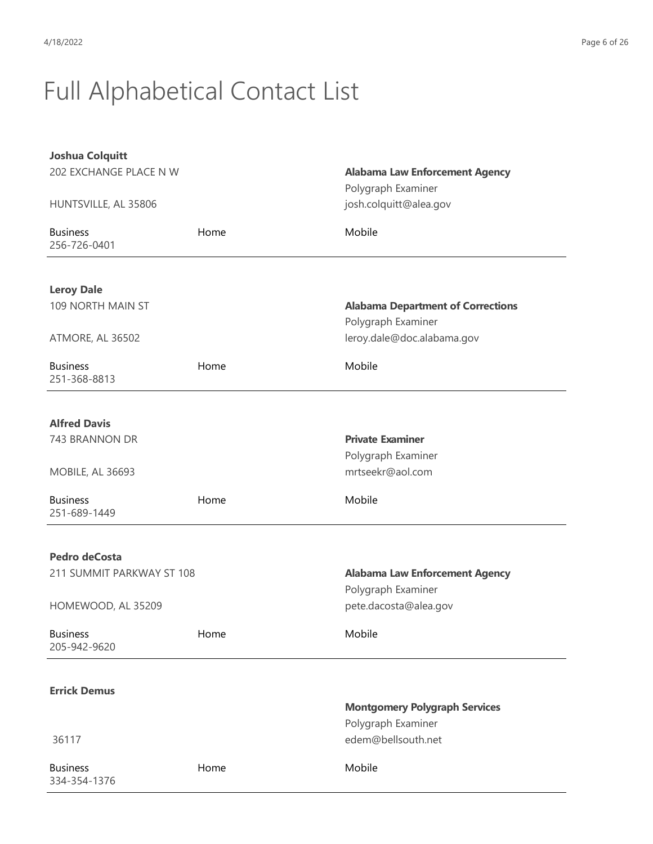| <b>Joshua Colquitt</b>          |      |                                          |
|---------------------------------|------|------------------------------------------|
| 202 EXCHANGE PLACE N W          |      | <b>Alabama Law Enforcement Agency</b>    |
|                                 |      | Polygraph Examiner                       |
| HUNTSVILLE, AL 35806            |      | josh.colquitt@alea.gov                   |
| <b>Business</b><br>256-726-0401 | Home | Mobile                                   |
|                                 |      |                                          |
| <b>Leroy Dale</b>               |      |                                          |
| 109 NORTH MAIN ST               |      | <b>Alabama Department of Corrections</b> |
|                                 |      | Polygraph Examiner                       |
| ATMORE, AL 36502                |      | leroy.dale@doc.alabama.gov               |
|                                 |      |                                          |
| <b>Business</b><br>251-368-8813 | Home | Mobile                                   |
|                                 |      |                                          |
| <b>Alfred Davis</b>             |      |                                          |
| 743 BRANNON DR                  |      | <b>Private Examiner</b>                  |
|                                 |      | Polygraph Examiner                       |
| MOBILE, AL 36693                |      | mrtseekr@aol.com                         |
| <b>Business</b>                 | Home | Mobile                                   |
| 251-689-1449                    |      |                                          |
|                                 |      |                                          |
| Pedro deCosta                   |      |                                          |
| 211 SUMMIT PARKWAY ST 108       |      | <b>Alabama Law Enforcement Agency</b>    |
|                                 |      | Polygraph Examiner                       |
| HOMEWOOD, AL 35209              |      | pete.dacosta@alea.gov                    |
| <b>Business</b><br>205-942-9620 | Home | Mobile                                   |
|                                 |      |                                          |
|                                 |      |                                          |
| <b>Errick Demus</b>             |      | <b>Montgomery Polygraph Services</b>     |
|                                 |      | Polygraph Examiner                       |
| 36117                           |      | edem@bellsouth.net                       |
|                                 |      |                                          |
| <b>Business</b><br>334-354-1376 | Home | Mobile                                   |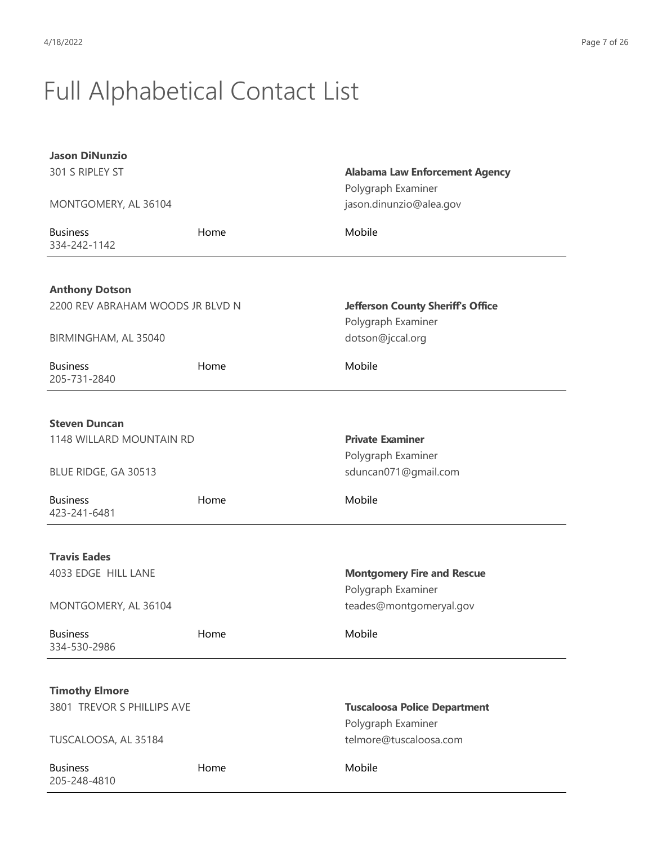| <b>Jason DiNunzio</b><br>301 S RIPLEY ST                  |      | <b>Alabama Law Enforcement Agency</b><br>Polygraph Examiner |
|-----------------------------------------------------------|------|-------------------------------------------------------------|
| MONTGOMERY, AL 36104                                      |      | jason.dinunzio@alea.gov                                     |
| <b>Business</b><br>334-242-1142                           | Home | Mobile                                                      |
| <b>Anthony Dotson</b><br>2200 REV ABRAHAM WOODS JR BLVD N |      | <b>Jefferson County Sheriff's Office</b>                    |
| BIRMINGHAM, AL 35040                                      |      | Polygraph Examiner<br>dotson@jccal.org                      |
| <b>Business</b><br>205-731-2840                           | Home | Mobile                                                      |
| <b>Steven Duncan</b>                                      |      |                                                             |
| 1148 WILLARD MOUNTAIN RD                                  |      | <b>Private Examiner</b><br>Polygraph Examiner               |
| BLUE RIDGE, GA 30513                                      |      | sduncan071@gmail.com                                        |
| <b>Business</b><br>423-241-6481                           | Home | Mobile                                                      |
| <b>Travis Eades</b>                                       |      |                                                             |
| 4033 EDGE HILL LANE                                       |      | <b>Montgomery Fire and Rescue</b><br>Polygraph Examiner     |
| MONTGOMERY, AL 36104                                      |      | teades@montgomeryal.gov                                     |
| <b>Business</b><br>334-530-2986                           | Home | Mobile                                                      |
| <b>Timothy Elmore</b>                                     |      |                                                             |
| 3801 TREVOR S PHILLIPS AVE                                |      | <b>Tuscaloosa Police Department</b><br>Polygraph Examiner   |
| TUSCALOOSA, AL 35184                                      |      | telmore@tuscaloosa.com                                      |
| <b>Business</b><br>205-248-4810                           | Home | Mobile                                                      |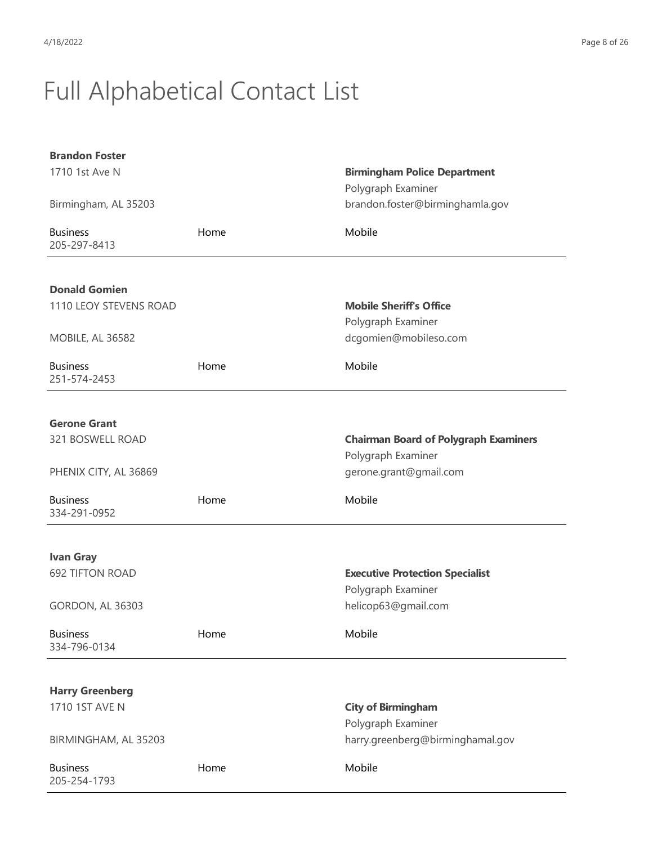| <b>Brandon Foster</b>           |      |                                              |
|---------------------------------|------|----------------------------------------------|
| 1710 1st Ave N                  |      | <b>Birmingham Police Department</b>          |
|                                 |      | Polygraph Examiner                           |
| Birmingham, AL 35203            |      | brandon.foster@birminghamla.gov              |
| <b>Business</b><br>205-297-8413 | Home | Mobile                                       |
|                                 |      |                                              |
| <b>Donald Gomien</b>            |      |                                              |
| 1110 LEOY STEVENS ROAD          |      | <b>Mobile Sheriff's Office</b>               |
|                                 |      | Polygraph Examiner                           |
| <b>MOBILE, AL 36582</b>         |      | dcgomien@mobileso.com                        |
| <b>Business</b><br>251-574-2453 | Home | Mobile                                       |
|                                 |      |                                              |
| <b>Gerone Grant</b>             |      |                                              |
| 321 BOSWELL ROAD                |      | <b>Chairman Board of Polygraph Examiners</b> |
|                                 |      | Polygraph Examiner                           |
| PHENIX CITY, AL 36869           |      | gerone.grant@gmail.com                       |
| <b>Business</b><br>334-291-0952 | Home | Mobile                                       |
|                                 |      |                                              |
| <b>Ivan Gray</b>                |      |                                              |
| <b>692 TIFTON ROAD</b>          |      | <b>Executive Protection Specialist</b>       |
|                                 |      | Polygraph Examiner                           |
| GORDON, AL 36303                |      | helicop63@gmail.com                          |
| <b>Business</b><br>334-796-0134 | Home | Mobile                                       |
|                                 |      |                                              |
| <b>Harry Greenberg</b>          |      |                                              |
| 1710 1ST AVE N                  |      | <b>City of Birmingham</b>                    |
|                                 |      | Polygraph Examiner                           |
| BIRMINGHAM, AL 35203            |      | harry.greenberg@birminghamal.gov             |
| <b>Business</b><br>205-254-1793 | Home | Mobile                                       |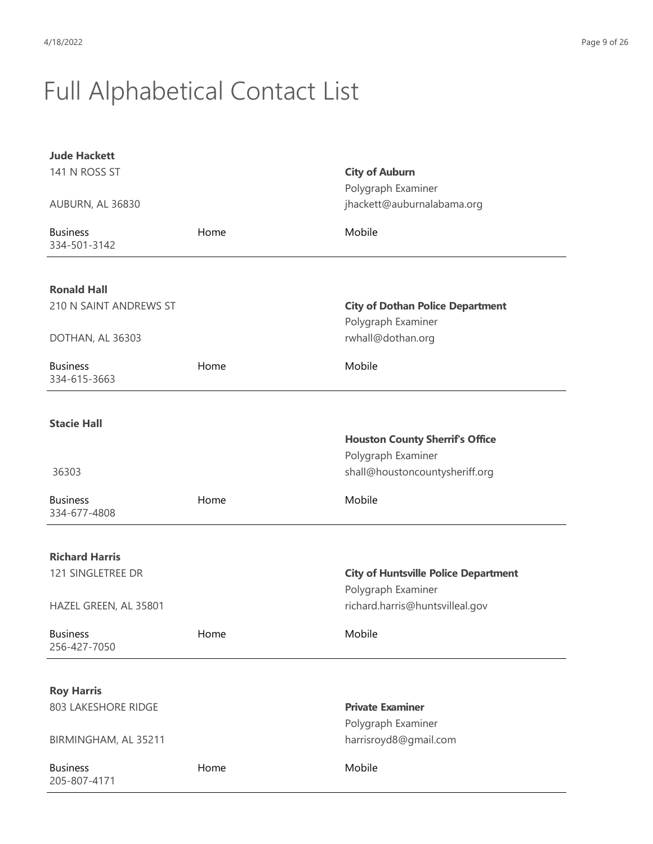| <b>Jude Hackett</b>             |      |                                             |
|---------------------------------|------|---------------------------------------------|
| 141 N ROSS ST                   |      | <b>City of Auburn</b>                       |
|                                 |      | Polygraph Examiner                          |
| AUBURN, AL 36830                |      | jhackett@auburnalabama.org                  |
| <b>Business</b><br>334-501-3142 | Home | Mobile                                      |
| <b>Ronald Hall</b>              |      |                                             |
| 210 N SAINT ANDREWS ST          |      | <b>City of Dothan Police Department</b>     |
|                                 |      | Polygraph Examiner                          |
| DOTHAN, AL 36303                |      | rwhall@dothan.org                           |
|                                 |      |                                             |
| <b>Business</b><br>334-615-3663 | Home | Mobile                                      |
|                                 |      |                                             |
| <b>Stacie Hall</b>              |      |                                             |
|                                 |      | <b>Houston County Sherrif's Office</b>      |
|                                 |      | Polygraph Examiner                          |
| 36303                           |      | shall@houstoncountysheriff.org              |
| <b>Business</b><br>334-677-4808 | Home | Mobile                                      |
|                                 |      |                                             |
| <b>Richard Harris</b>           |      |                                             |
| 121 SINGLETREE DR               |      | <b>City of Huntsville Police Department</b> |
|                                 |      | Polygraph Examiner                          |
| HAZEL GREEN, AL 35801           |      | richard.harris@huntsvilleal.gov             |
| <b>Business</b><br>256-427-7050 | Home | Mobile                                      |
|                                 |      |                                             |
| <b>Roy Harris</b>               |      |                                             |
| 803 LAKESHORE RIDGE             |      | <b>Private Examiner</b>                     |
|                                 |      | Polygraph Examiner                          |
| BIRMINGHAM, AL 35211            |      | harrisroyd8@gmail.com                       |
| <b>Business</b><br>205-807-4171 | Home | Mobile                                      |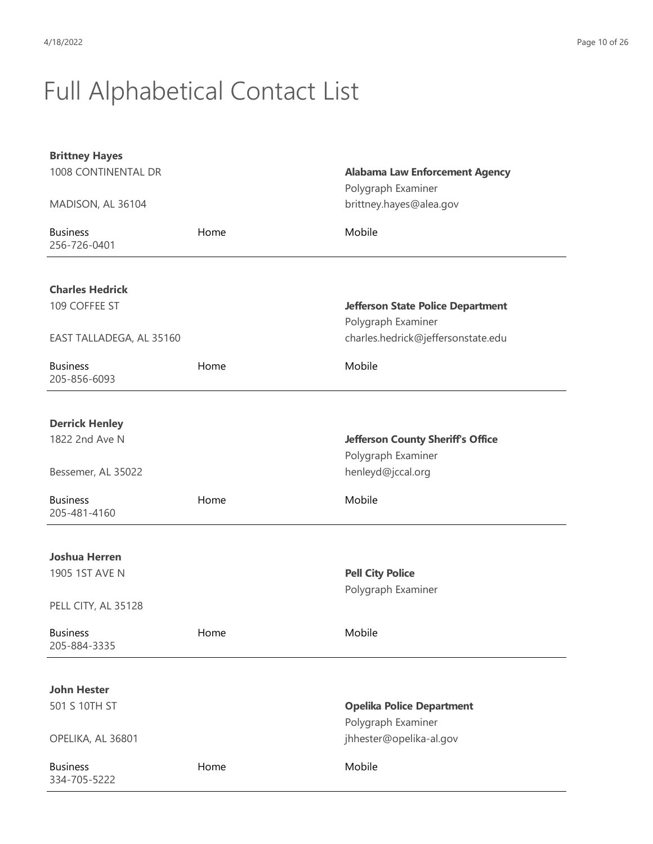| <b>Brittney Hayes</b>    |      |                                               |
|--------------------------|------|-----------------------------------------------|
| 1008 CONTINENTAL DR      |      | <b>Alabama Law Enforcement Agency</b>         |
| MADISON, AL 36104        |      | Polygraph Examiner<br>brittney.hayes@alea.gov |
|                          |      |                                               |
| <b>Business</b>          | Home | Mobile                                        |
| 256-726-0401             |      |                                               |
|                          |      |                                               |
| <b>Charles Hedrick</b>   |      |                                               |
| 109 COFFEE ST            |      | <b>Jefferson State Police Department</b>      |
|                          |      | Polygraph Examiner                            |
| EAST TALLADEGA, AL 35160 |      | charles.hedrick@jeffersonstate.edu            |
| <b>Business</b>          | Home | Mobile                                        |
| 205-856-6093             |      |                                               |
|                          |      |                                               |
| <b>Derrick Henley</b>    |      |                                               |
| 1822 2nd Ave N           |      | <b>Jefferson County Sheriff's Office</b>      |
|                          |      | Polygraph Examiner                            |
| Bessemer, AL 35022       |      | henleyd@jccal.org                             |
| <b>Business</b>          | Home | Mobile                                        |
| 205-481-4160             |      |                                               |
|                          |      |                                               |
| <b>Joshua Herren</b>     |      |                                               |
| 1905 1ST AVE N           |      | <b>Pell City Police</b>                       |
|                          |      | Polygraph Examiner                            |
| PELL CITY, AL 35128      |      |                                               |
| <b>Business</b>          | Home | Mobile                                        |
| 205-884-3335             |      |                                               |
|                          |      |                                               |
| <b>John Hester</b>       |      |                                               |
| 501 S 10TH ST            |      | <b>Opelika Police Department</b>              |
|                          |      | Polygraph Examiner                            |
| OPELIKA, AL 36801        |      | jhhester@opelika-al.gov                       |
| <b>Business</b>          | Home | Mobile                                        |
| 334-705-5222             |      |                                               |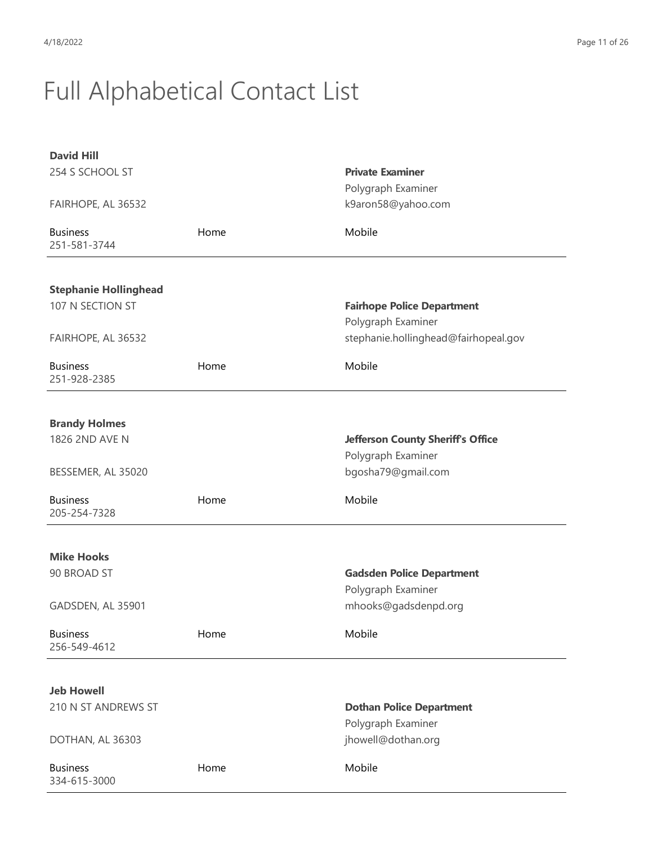| <b>David Hill</b>               |      |                                          |
|---------------------------------|------|------------------------------------------|
| 254 S SCHOOL ST                 |      | <b>Private Examiner</b>                  |
|                                 |      | Polygraph Examiner                       |
| FAIRHOPE, AL 36532              |      | k9aron58@yahoo.com                       |
| <b>Business</b><br>251-581-3744 | Home | Mobile                                   |
|                                 |      |                                          |
| <b>Stephanie Hollinghead</b>    |      |                                          |
| 107 N SECTION ST                |      | <b>Fairhope Police Department</b>        |
|                                 |      | Polygraph Examiner                       |
| FAIRHOPE, AL 36532              |      | stephanie.hollinghead@fairhopeal.gov     |
| <b>Business</b><br>251-928-2385 | Home | Mobile                                   |
|                                 |      |                                          |
| <b>Brandy Holmes</b>            |      |                                          |
| 1826 2ND AVE N                  |      | <b>Jefferson County Sheriff's Office</b> |
|                                 |      | Polygraph Examiner                       |
| BESSEMER, AL 35020              |      | bgosha79@gmail.com                       |
| <b>Business</b>                 | Home | Mobile                                   |
| 205-254-7328                    |      |                                          |
|                                 |      |                                          |
| <b>Mike Hooks</b>               |      |                                          |
| 90 BROAD ST                     |      | <b>Gadsden Police Department</b>         |
|                                 |      | Polygraph Examiner                       |
| GADSDEN, AL 35901               |      | mhooks@gadsdenpd.org                     |
| <b>Business</b>                 | Home | Mobile                                   |
| 256-549-4612                    |      |                                          |
|                                 |      |                                          |
| <b>Jeb Howell</b>               |      |                                          |
| 210 N ST ANDREWS ST             |      | <b>Dothan Police Department</b>          |
|                                 |      | Polygraph Examiner                       |
| DOTHAN, AL 36303                |      | jhowell@dothan.org                       |
| <b>Business</b><br>334-615-3000 | Home | Mobile                                   |
|                                 |      |                                          |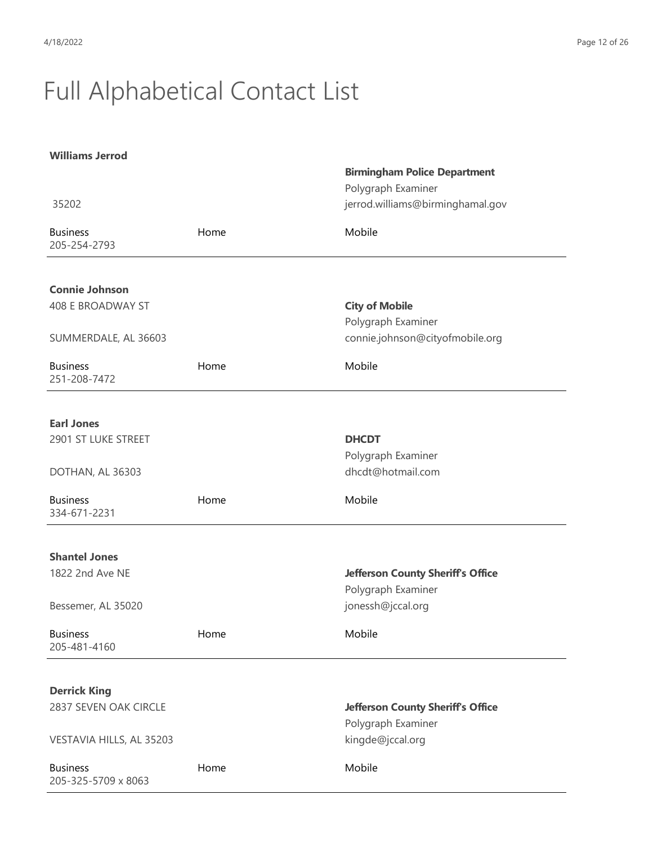| <b>Williams Jerrod</b>                 |      |                                          |
|----------------------------------------|------|------------------------------------------|
|                                        |      | <b>Birmingham Police Department</b>      |
|                                        |      | Polygraph Examiner                       |
| 35202                                  |      | jerrod.williams@birminghamal.gov         |
| <b>Business</b><br>205-254-2793        | Home | Mobile                                   |
|                                        |      |                                          |
| <b>Connie Johnson</b>                  |      |                                          |
| 408 E BROADWAY ST                      |      | <b>City of Mobile</b>                    |
|                                        |      | Polygraph Examiner                       |
| SUMMERDALE, AL 36603                   |      | connie.johnson@cityofmobile.org          |
| <b>Business</b><br>251-208-7472        | Home | Mobile                                   |
| <b>Earl Jones</b>                      |      |                                          |
| 2901 ST LUKE STREET                    |      | <b>DHCDT</b>                             |
|                                        |      | Polygraph Examiner                       |
| DOTHAN, AL 36303                       |      | dhcdt@hotmail.com                        |
| <b>Business</b><br>334-671-2231        | Home | Mobile                                   |
| <b>Shantel Jones</b>                   |      |                                          |
| 1822 2nd Ave NE                        |      | <b>Jefferson County Sheriff's Office</b> |
|                                        |      | Polygraph Examiner                       |
| Bessemer, AL 35020                     |      | jonessh@jccal.org                        |
|                                        |      |                                          |
| <b>Business</b><br>205-481-4160        | Home | Mobile                                   |
|                                        |      |                                          |
| <b>Derrick King</b>                    |      |                                          |
| 2837 SEVEN OAK CIRCLE                  |      | <b>Jefferson County Sheriff's Office</b> |
|                                        |      | Polygraph Examiner                       |
| VESTAVIA HILLS, AL 35203               |      | kingde@jccal.org                         |
| <b>Business</b><br>205-325-5709 x 8063 | Home | Mobile                                   |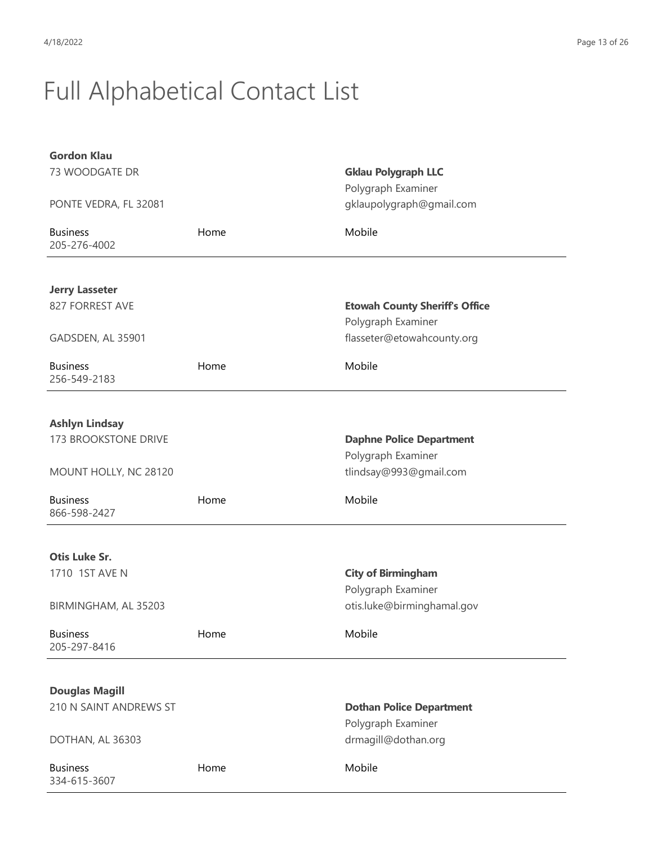| <b>Gordon Klau</b>              |      |                                                |
|---------------------------------|------|------------------------------------------------|
| 73 WOODGATE DR                  |      | <b>Gklau Polygraph LLC</b>                     |
| PONTE VEDRA, FL 32081           |      | Polygraph Examiner<br>gklaupolygraph@gmail.com |
|                                 |      |                                                |
| <b>Business</b><br>205-276-4002 | Home | Mobile                                         |
|                                 |      |                                                |
| <b>Jerry Lasseter</b>           |      |                                                |
| 827 FORREST AVE                 |      | <b>Etowah County Sheriff's Office</b>          |
|                                 |      | Polygraph Examiner                             |
| GADSDEN, AL 35901               |      | flasseter@etowahcounty.org                     |
| <b>Business</b><br>256-549-2183 | Home | Mobile                                         |
|                                 |      |                                                |
| <b>Ashlyn Lindsay</b>           |      |                                                |
| <b>173 BROOKSTONE DRIVE</b>     |      | <b>Daphne Police Department</b>                |
|                                 |      | Polygraph Examiner                             |
| MOUNT HOLLY, NC 28120           |      | tlindsay@993@gmail.com                         |
| <b>Business</b><br>866-598-2427 | Home | Mobile                                         |
|                                 |      |                                                |
| <b>Otis Luke Sr.</b>            |      |                                                |
| 1710 1ST AVE N                  |      | <b>City of Birmingham</b>                      |
|                                 |      | Polygraph Examiner                             |
| BIRMINGHAM, AL 35203            |      | otis.luke@birminghamal.gov                     |
| <b>Business</b>                 | Home | Mobile                                         |
| 205-297-8416                    |      |                                                |
|                                 |      |                                                |
| <b>Douglas Magill</b>           |      |                                                |
| 210 N SAINT ANDREWS ST          |      | <b>Dothan Police Department</b>                |
|                                 |      | Polygraph Examiner                             |
| DOTHAN, AL 36303                |      | drmagill@dothan.org                            |
| <b>Business</b><br>334-615-3607 | Home | Mobile                                         |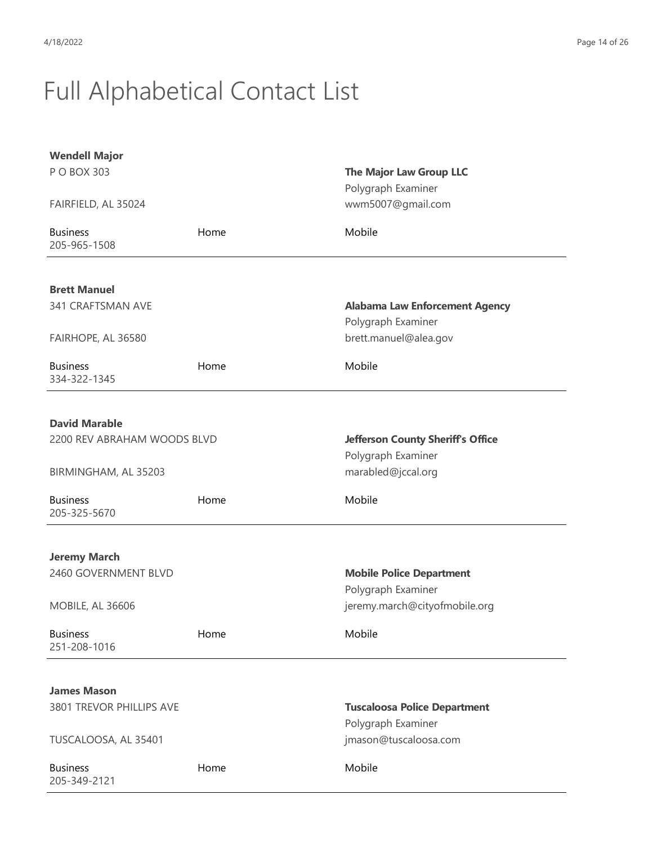| <b>Wendell Major</b>                     |      |                                                             |
|------------------------------------------|------|-------------------------------------------------------------|
| P O BOX 303                              |      | The Major Law Group LLC<br>Polygraph Examiner               |
| FAIRFIELD, AL 35024                      |      | wwm5007@gmail.com                                           |
| <b>Business</b><br>205-965-1508          | Home | Mobile                                                      |
|                                          |      |                                                             |
| <b>Brett Manuel</b><br>341 CRAFTSMAN AVE |      |                                                             |
|                                          |      | <b>Alabama Law Enforcement Agency</b><br>Polygraph Examiner |
| FAIRHOPE, AL 36580                       |      | brett.manuel@alea.gov                                       |
| <b>Business</b><br>334-322-1345          | Home | Mobile                                                      |
|                                          |      |                                                             |
| <b>David Marable</b>                     |      |                                                             |
| 2200 REV ABRAHAM WOODS BLVD              |      | <b>Jefferson County Sheriff's Office</b>                    |
|                                          |      | Polygraph Examiner                                          |
| BIRMINGHAM, AL 35203                     |      | marabled@jccal.org                                          |
| <b>Business</b><br>205-325-5670          | Home | Mobile                                                      |
|                                          |      |                                                             |
| <b>Jeremy March</b>                      |      |                                                             |
| 2460 GOVERNMENT BLVD                     |      | <b>Mobile Police Department</b>                             |
| <b>MOBILE, AL 36606</b>                  |      | Polygraph Examiner<br>jeremy.march@cityofmobile.org         |
|                                          |      |                                                             |
| <b>Business</b><br>251-208-1016          | Home | Mobile                                                      |
|                                          |      |                                                             |
| <b>James Mason</b>                       |      |                                                             |
| 3801 TREVOR PHILLIPS AVE                 |      | <b>Tuscaloosa Police Department</b>                         |
|                                          |      | Polygraph Examiner                                          |
| TUSCALOOSA, AL 35401                     |      | jmason@tuscaloosa.com                                       |
| <b>Business</b><br>205-349-2121          | Home | Mobile                                                      |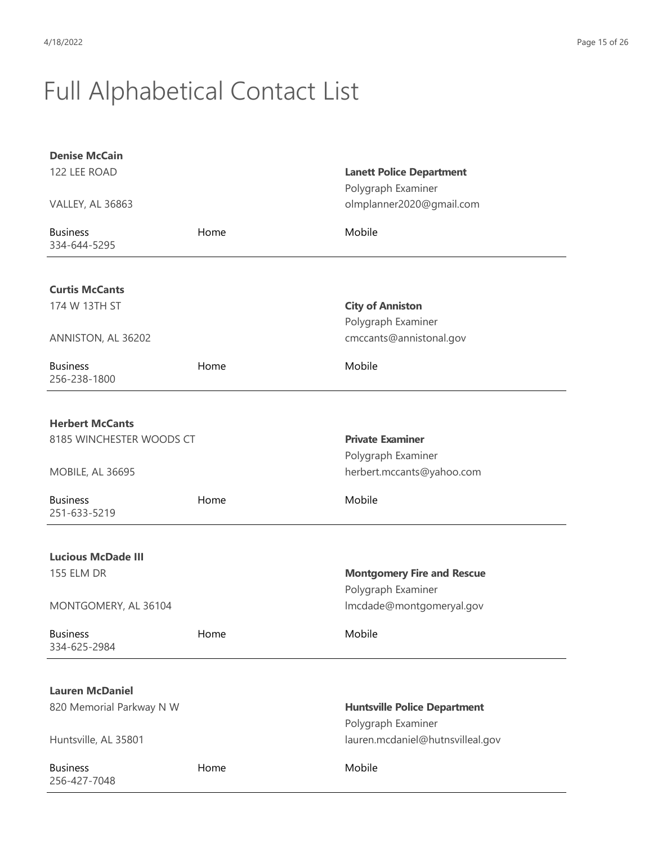| <b>Denise McCain</b>            |      |                                     |
|---------------------------------|------|-------------------------------------|
| 122 LEE ROAD                    |      | <b>Lanett Police Department</b>     |
|                                 |      | Polygraph Examiner                  |
| <b>VALLEY, AL 36863</b>         |      | olmplanner2020@gmail.com            |
| <b>Business</b><br>334-644-5295 | Home | Mobile                              |
| <b>Curtis McCants</b>           |      |                                     |
| 174 W 13TH ST                   |      | <b>City of Anniston</b>             |
|                                 |      | Polygraph Examiner                  |
| ANNISTON, AL 36202              |      | cmccants@annistonal.gov             |
|                                 |      |                                     |
| <b>Business</b><br>256-238-1800 | Home | Mobile                              |
|                                 |      |                                     |
| <b>Herbert McCants</b>          |      |                                     |
| 8185 WINCHESTER WOODS CT        |      | <b>Private Examiner</b>             |
|                                 |      | Polygraph Examiner                  |
| MOBILE, AL 36695                |      | herbert.mccants@yahoo.com           |
| <b>Business</b><br>251-633-5219 | Home | Mobile                              |
|                                 |      |                                     |
| <b>Lucious McDade III</b>       |      |                                     |
| <b>155 ELM DR</b>               |      | <b>Montgomery Fire and Rescue</b>   |
|                                 |      | Polygraph Examiner                  |
| MONTGOMERY, AL 36104            |      | Imcdade@montgomeryal.gov            |
| <b>Business</b><br>334-625-2984 | Home | Mobile                              |
|                                 |      |                                     |
| <b>Lauren McDaniel</b>          |      |                                     |
| 820 Memorial Parkway N W        |      | <b>Huntsville Police Department</b> |
|                                 |      | Polygraph Examiner                  |
| Huntsville, AL 35801            |      | lauren.mcdaniel@hutnsvilleal.gov    |
| <b>Business</b><br>256-427-7048 | Home | Mobile                              |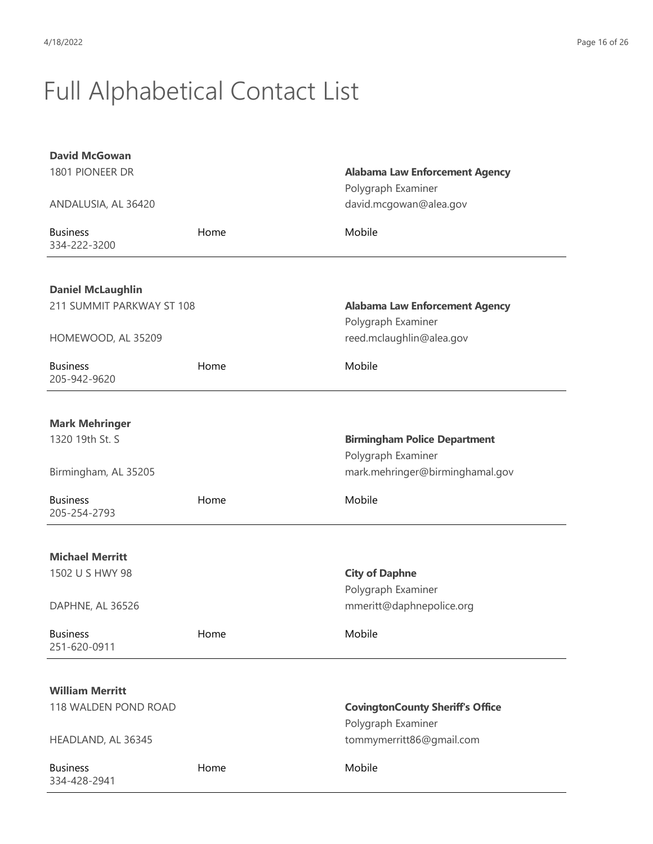| <b>David McGowan</b>            |      |                                         |
|---------------------------------|------|-----------------------------------------|
| 1801 PIONEER DR                 |      | <b>Alabama Law Enforcement Agency</b>   |
|                                 |      | Polygraph Examiner                      |
| ANDALUSIA, AL 36420             |      | david.mcgowan@alea.gov                  |
| <b>Business</b><br>334-222-3200 | Home | Mobile                                  |
|                                 |      |                                         |
| <b>Daniel McLaughlin</b>        |      |                                         |
| 211 SUMMIT PARKWAY ST 108       |      | <b>Alabama Law Enforcement Agency</b>   |
|                                 |      | Polygraph Examiner                      |
| HOMEWOOD, AL 35209              |      | reed.mclaughlin@alea.gov                |
| <b>Business</b><br>205-942-9620 | Home | Mobile                                  |
|                                 |      |                                         |
| <b>Mark Mehringer</b>           |      |                                         |
| 1320 19th St. S                 |      | <b>Birmingham Police Department</b>     |
|                                 |      | Polygraph Examiner                      |
| Birmingham, AL 35205            |      | mark.mehringer@birminghamal.gov         |
| <b>Business</b><br>205-254-2793 | Home | Mobile                                  |
| <b>Michael Merritt</b>          |      |                                         |
| 1502 U S HWY 98                 |      | <b>City of Daphne</b>                   |
|                                 |      | Polygraph Examiner                      |
| DAPHNE, AL 36526                |      | mmeritt@daphnepolice.org                |
| <b>Business</b><br>251-620-0911 | Home | Mobile                                  |
|                                 |      |                                         |
| <b>William Merritt</b>          |      |                                         |
| 118 WALDEN POND ROAD            |      | <b>CovingtonCounty Sheriff's Office</b> |
|                                 |      | Polygraph Examiner                      |
| HEADLAND, AL 36345              |      | tommymerritt86@gmail.com                |
| <b>Business</b><br>334-428-2941 | Home | Mobile                                  |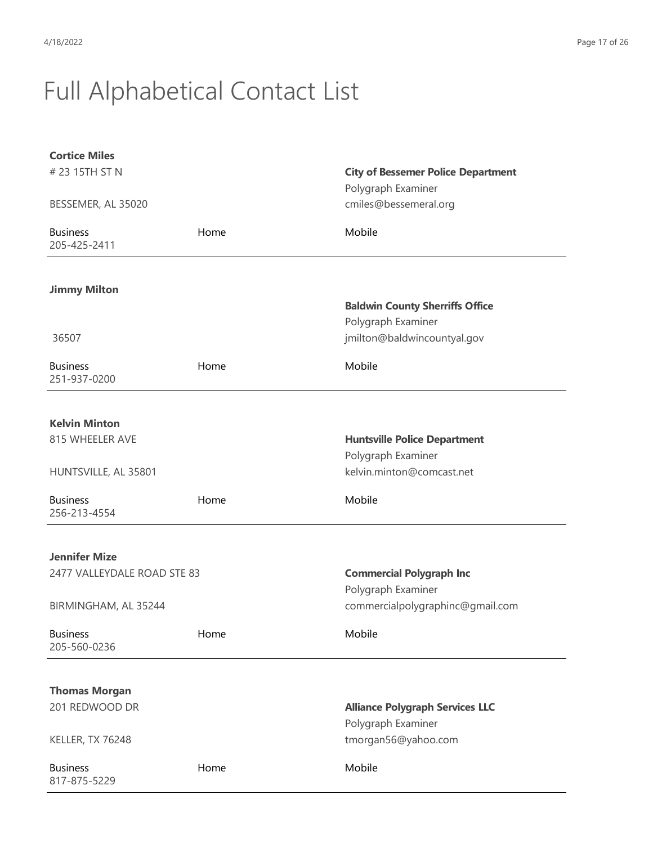| <b>Cortice Miles</b>            |      |                                           |
|---------------------------------|------|-------------------------------------------|
| # 23 15TH ST N                  |      | <b>City of Bessemer Police Department</b> |
|                                 |      | Polygraph Examiner                        |
| BESSEMER, AL 35020              |      | cmiles@bessemeral.org                     |
| <b>Business</b><br>205-425-2411 | Home | Mobile                                    |
|                                 |      |                                           |
| <b>Jimmy Milton</b>             |      |                                           |
|                                 |      | <b>Baldwin County Sherriffs Office</b>    |
|                                 |      | Polygraph Examiner                        |
| 36507                           |      | jmilton@baldwincountyal.gov               |
| <b>Business</b><br>251-937-0200 | Home | Mobile                                    |
|                                 |      |                                           |
| <b>Kelvin Minton</b>            |      |                                           |
| 815 WHEELER AVE                 |      | <b>Huntsville Police Department</b>       |
|                                 |      | Polygraph Examiner                        |
| HUNTSVILLE, AL 35801            |      | kelvin.minton@comcast.net                 |
| <b>Business</b><br>256-213-4554 | Home | Mobile                                    |
|                                 |      |                                           |
| <b>Jennifer Mize</b>            |      |                                           |
| 2477 VALLEYDALE ROAD STE 83     |      | <b>Commercial Polygraph Inc</b>           |
|                                 |      | Polygraph Examiner                        |
| BIRMINGHAM, AL 35244            |      | commercialpolygraphinc@gmail.com          |
| <b>Business</b><br>205-560-0236 | Home | Mobile                                    |
|                                 |      |                                           |
| <b>Thomas Morgan</b>            |      |                                           |
| 201 REDWOOD DR                  |      | <b>Alliance Polygraph Services LLC</b>    |
|                                 |      | Polygraph Examiner                        |
| KELLER, TX 76248                |      | tmorgan56@yahoo.com                       |
| <b>Business</b><br>817-875-5229 | Home | Mobile                                    |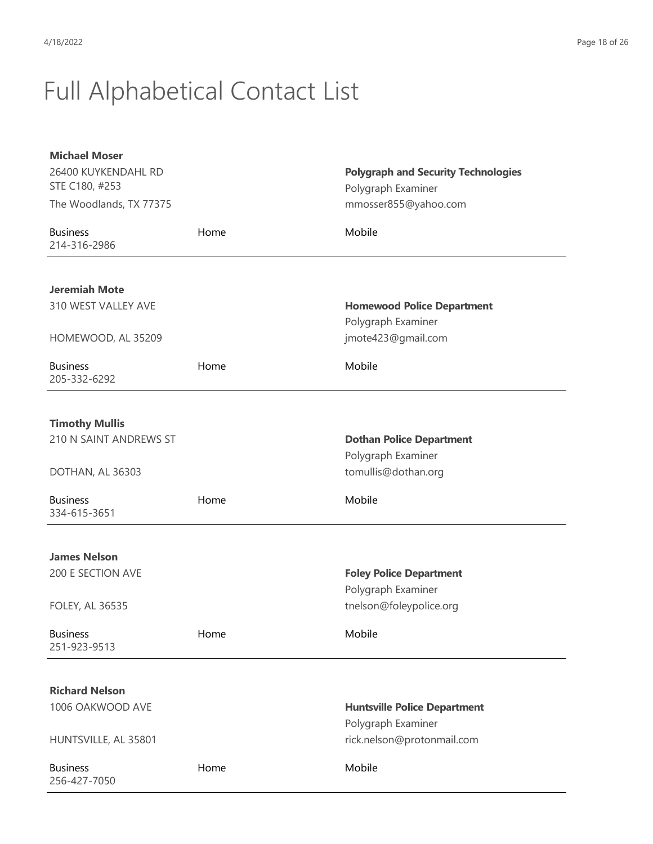| <b>Michael Moser</b>            |      |                                               |
|---------------------------------|------|-----------------------------------------------|
| 26400 KUYKENDAHL RD             |      | <b>Polygraph and Security Technologies</b>    |
| STE C180, #253                  |      | Polygraph Examiner                            |
| The Woodlands, TX 77375         |      | mmosser855@yahoo.com                          |
| <b>Business</b><br>214-316-2986 | Home | Mobile                                        |
|                                 |      |                                               |
| <b>Jeremiah Mote</b>            |      |                                               |
| 310 WEST VALLEY AVE             |      | <b>Homewood Police Department</b>             |
|                                 |      | Polygraph Examiner                            |
| HOMEWOOD, AL 35209              |      | jmote423@gmail.com                            |
| <b>Business</b><br>205-332-6292 | Home | Mobile                                        |
|                                 |      |                                               |
| <b>Timothy Mullis</b>           |      |                                               |
| 210 N SAINT ANDREWS ST          |      | <b>Dothan Police Department</b>               |
|                                 |      | Polygraph Examiner                            |
| DOTHAN, AL 36303                |      | tomullis@dothan.org                           |
| <b>Business</b><br>334-615-3651 | Home | Mobile                                        |
|                                 |      |                                               |
| <b>James Nelson</b>             |      |                                               |
| 200 E SECTION AVE               |      | <b>Foley Police Department</b>                |
| <b>FOLEY, AL 36535</b>          |      | Polygraph Examiner<br>tnelson@foleypolice.org |
|                                 |      |                                               |
| <b>Business</b><br>251-923-9513 | Home | Mobile                                        |
|                                 |      |                                               |
| <b>Richard Nelson</b>           |      |                                               |
| 1006 OAKWOOD AVE                |      | <b>Huntsville Police Department</b>           |
|                                 |      | Polygraph Examiner                            |
| HUNTSVILLE, AL 35801            |      | rick.nelson@protonmail.com                    |
| <b>Business</b><br>256-427-7050 | Home | Mobile                                        |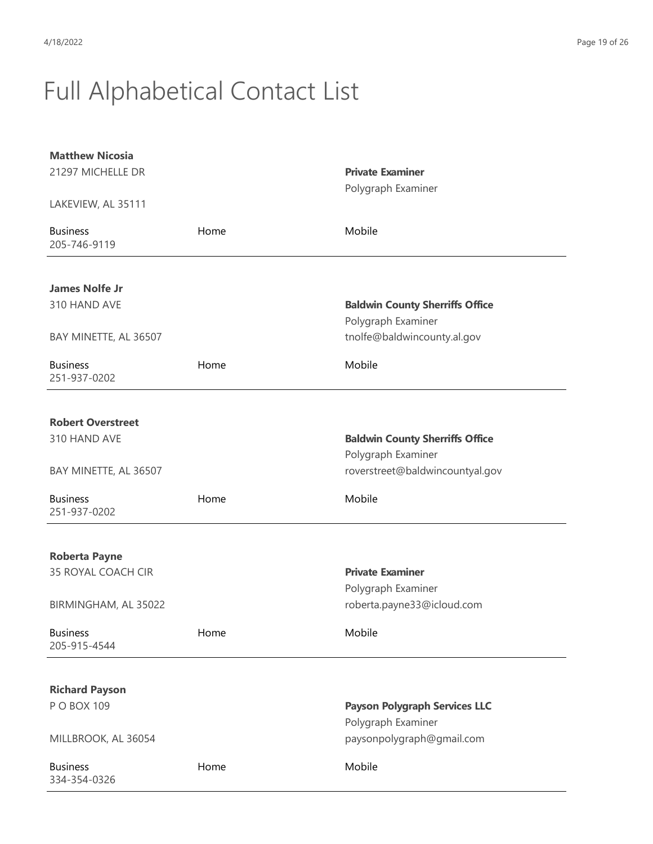| <b>Matthew Nicosia</b><br>21297 MICHELLE DR |      | <b>Private Examiner</b><br>Polygraph Examiner         |
|---------------------------------------------|------|-------------------------------------------------------|
| LAKEVIEW, AL 35111                          |      |                                                       |
| <b>Business</b><br>205-746-9119             | Home | Mobile                                                |
| <b>James Nolfe Jr</b>                       |      |                                                       |
| 310 HAND AVE                                |      | <b>Baldwin County Sherriffs Office</b>                |
| BAY MINETTE, AL 36507                       |      | Polygraph Examiner<br>tnolfe@baldwincounty.al.gov     |
|                                             |      |                                                       |
| <b>Business</b><br>251-937-0202             | Home | Mobile                                                |
|                                             |      |                                                       |
| <b>Robert Overstreet</b>                    |      |                                                       |
| 310 HAND AVE                                |      | <b>Baldwin County Sherriffs Office</b>                |
| BAY MINETTE, AL 36507                       |      | Polygraph Examiner<br>roverstreet@baldwincountyal.gov |
|                                             |      |                                                       |
| <b>Business</b><br>251-937-0202             | Home | Mobile                                                |
|                                             |      |                                                       |
| <b>Roberta Payne</b>                        |      |                                                       |
| 35 ROYAL COACH CIR                          |      | <b>Private Examiner</b><br>Polygraph Examiner         |
| BIRMINGHAM, AL 35022                        |      | roberta.payne33@icloud.com                            |
| <b>Business</b><br>205-915-4544             | Home | Mobile                                                |
|                                             |      |                                                       |
| <b>Richard Payson</b>                       |      |                                                       |
| P O BOX 109                                 |      | <b>Payson Polygraph Services LLC</b>                  |
|                                             |      | Polygraph Examiner                                    |
| MILLBROOK, AL 36054                         |      | paysonpolygraph@gmail.com                             |
| <b>Business</b><br>334-354-0326             | Home | Mobile                                                |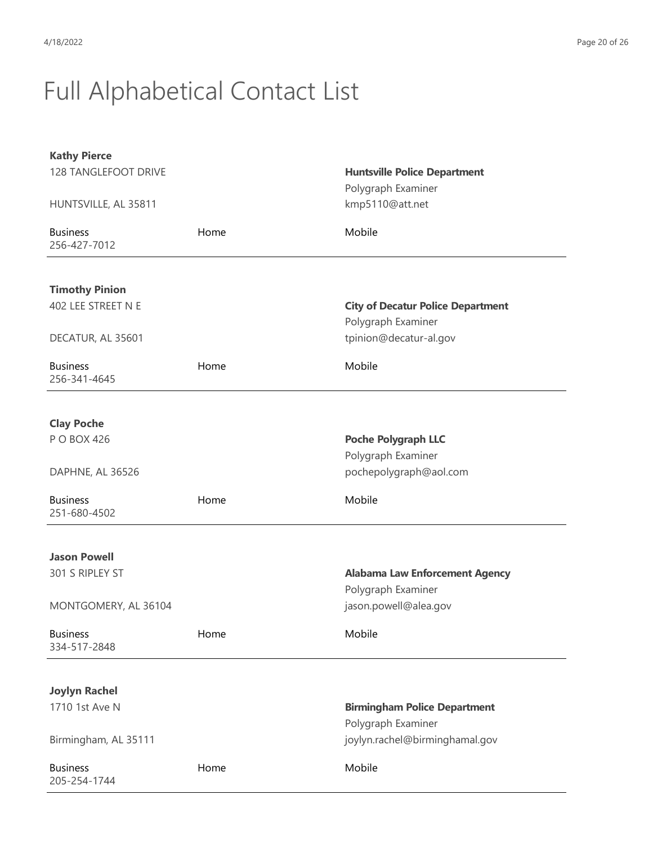| <b>Kathy Pierce</b><br>128 TANGLEFOOT DRIVE |      | <b>Huntsville Police Department</b><br>Polygraph Examiner      |
|---------------------------------------------|------|----------------------------------------------------------------|
| HUNTSVILLE, AL 35811                        |      | kmp5110@att.net                                                |
| <b>Business</b><br>256-427-7012             | Home | Mobile                                                         |
| <b>Timothy Pinion</b><br>402 LEE STREET N E |      | <b>City of Decatur Police Department</b><br>Polygraph Examiner |
| DECATUR, AL 35601                           |      | tpinion@decatur-al.gov                                         |
| <b>Business</b><br>256-341-4645             | Home | Mobile                                                         |
| <b>Clay Poche</b><br>P O BOX 426            |      | <b>Poche Polygraph LLC</b><br>Polygraph Examiner               |
| DAPHNE, AL 36526                            |      | pochepolygraph@aol.com                                         |
| <b>Business</b><br>251-680-4502             | Home | Mobile                                                         |
| <b>Jason Powell</b>                         |      |                                                                |
| 301 S RIPLEY ST                             |      | <b>Alabama Law Enforcement Agency</b><br>Polygraph Examiner    |
| MONTGOMERY, AL 36104                        |      | jason.powell@alea.gov                                          |
| <b>Business</b><br>334-517-2848             | Home | Mobile                                                         |
| <b>Joylyn Rachel</b>                        |      |                                                                |
| 1710 1st Ave N                              |      | <b>Birmingham Police Department</b><br>Polygraph Examiner      |
| Birmingham, AL 35111                        |      | joylyn.rachel@birminghamal.gov                                 |
| <b>Business</b><br>205-254-1744             | Home | Mobile                                                         |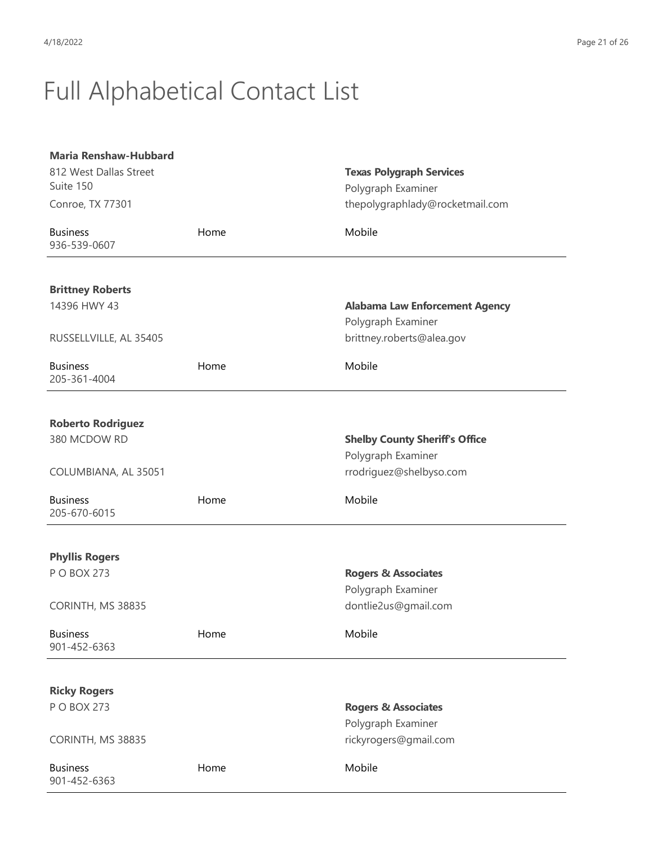| <b>Maria Renshaw-Hubbard</b>    |      |                                       |
|---------------------------------|------|---------------------------------------|
| 812 West Dallas Street          |      | <b>Texas Polygraph Services</b>       |
| Suite 150                       |      | Polygraph Examiner                    |
| Conroe, TX 77301                |      | thepolygraphlady@rocketmail.com       |
| <b>Business</b><br>936-539-0607 | Home | Mobile                                |
| <b>Brittney Roberts</b>         |      |                                       |
| 14396 HWY 43                    |      | <b>Alabama Law Enforcement Agency</b> |
|                                 |      | Polygraph Examiner                    |
| RUSSELLVILLE, AL 35405          |      | brittney.roberts@alea.gov             |
| <b>Business</b><br>205-361-4004 | Home | Mobile                                |
| <b>Roberto Rodriguez</b>        |      |                                       |
| 380 MCDOW RD                    |      | <b>Shelby County Sheriff's Office</b> |
|                                 |      | Polygraph Examiner                    |
| COLUMBIANA, AL 35051            |      | rrodriguez@shelbyso.com               |
| <b>Business</b><br>205-670-6015 | Home | Mobile                                |
| <b>Phyllis Rogers</b>           |      |                                       |
| P O BOX 273                     |      | <b>Rogers &amp; Associates</b>        |
|                                 |      | Polygraph Examiner                    |
| CORINTH, MS 38835               |      | dontlie2us@gmail.com                  |
| <b>Business</b><br>901-452-6363 | Home | Mobile                                |
| <b>Ricky Rogers</b>             |      |                                       |
| P O BOX 273                     |      | <b>Rogers &amp; Associates</b>        |
|                                 |      | Polygraph Examiner                    |
| CORINTH, MS 38835               |      | rickyrogers@gmail.com                 |
| <b>Business</b><br>901-452-6363 | Home | Mobile                                |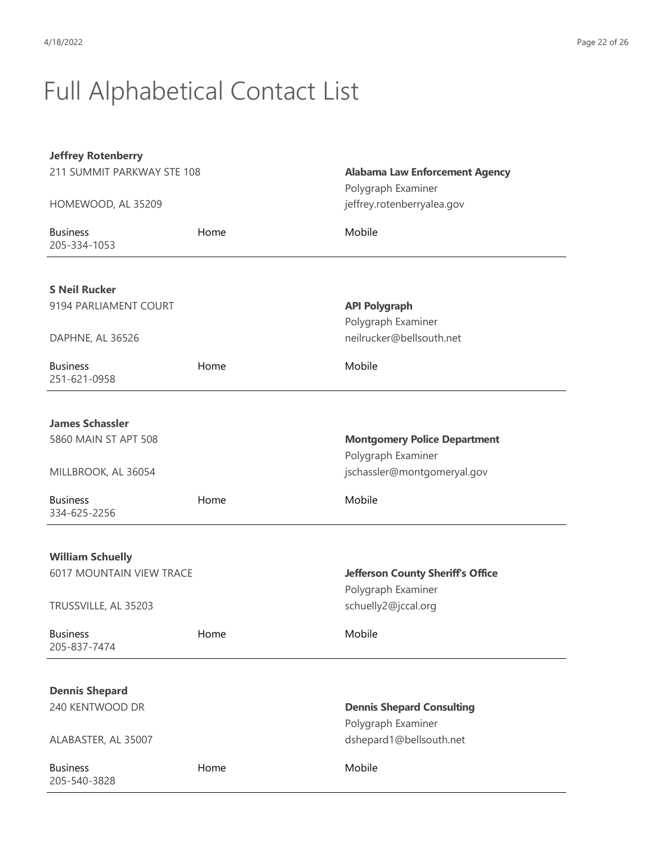| <b>Jeffrey Rotenberry</b>                                  |      |                                                             |
|------------------------------------------------------------|------|-------------------------------------------------------------|
| 211 SUMMIT PARKWAY STE 108                                 |      | <b>Alabama Law Enforcement Agency</b><br>Polygraph Examiner |
| HOMEWOOD, AL 35209                                         |      | jeffrey.rotenberryalea.gov                                  |
| <b>Business</b><br>205-334-1053                            | Home | Mobile                                                      |
| <b>S Neil Rucker</b>                                       |      |                                                             |
| 9194 PARLIAMENT COURT                                      |      | <b>API Polygraph</b>                                        |
|                                                            |      | Polygraph Examiner                                          |
| DAPHNE, AL 36526                                           |      | neilrucker@bellsouth.net                                    |
| <b>Business</b><br>251-621-0958                            | Home | Mobile                                                      |
|                                                            |      |                                                             |
| <b>James Schassler</b>                                     |      |                                                             |
| 5860 MAIN ST APT 508                                       |      | <b>Montgomery Police Department</b>                         |
|                                                            |      | Polygraph Examiner                                          |
| MILLBROOK, AL 36054                                        |      | jschassler@montgomeryal.gov                                 |
| <b>Business</b><br>334-625-2256                            | Home | Mobile                                                      |
|                                                            |      |                                                             |
| <b>William Schuelly</b><br><b>6017 MOUNTAIN VIEW TRACE</b> |      | <b>Jefferson County Sheriff's Office</b>                    |
|                                                            |      | Polygraph Examiner                                          |
| TRUSSVILLE, AL 35203                                       |      | schuelly2@jccal.org                                         |
| <b>Business</b><br>205-837-7474                            | Home | Mobile                                                      |
|                                                            |      |                                                             |
| <b>Dennis Shepard</b>                                      |      |                                                             |
| 240 KENTWOOD DR                                            |      | <b>Dennis Shepard Consulting</b><br>Polygraph Examiner      |
| ALABASTER, AL 35007                                        |      | dshepard1@bellsouth.net                                     |
| <b>Business</b><br>205-540-3828                            | Home | Mobile                                                      |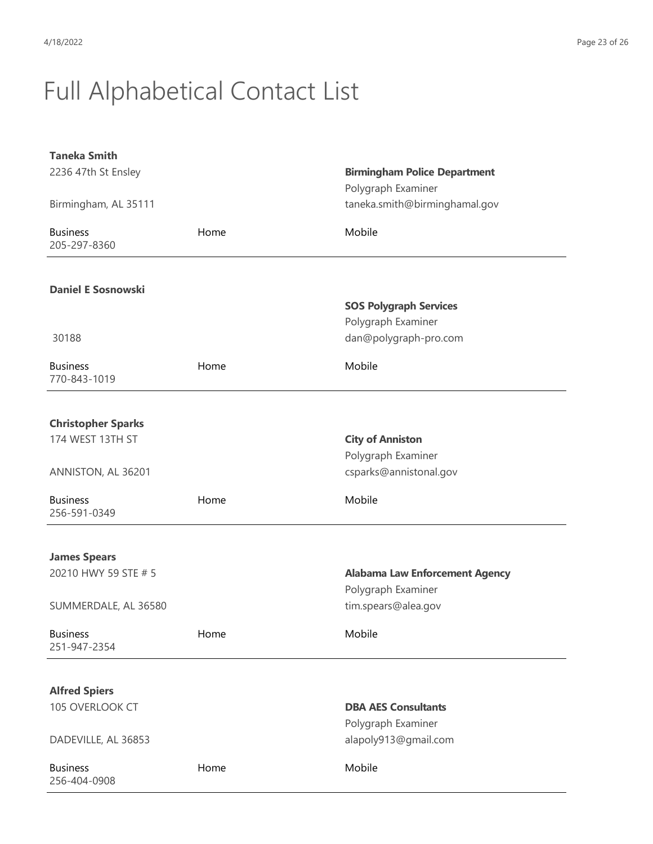| <b>Taneka Smith</b>             |      |                                       |
|---------------------------------|------|---------------------------------------|
| 2236 47th St Ensley             |      | <b>Birmingham Police Department</b>   |
|                                 |      | Polygraph Examiner                    |
| Birmingham, AL 35111            |      | taneka.smith@birminghamal.gov         |
| <b>Business</b><br>205-297-8360 | Home | Mobile                                |
|                                 |      |                                       |
| <b>Daniel E Sosnowski</b>       |      |                                       |
|                                 |      | <b>SOS Polygraph Services</b>         |
|                                 |      | Polygraph Examiner                    |
| 30188                           |      | dan@polygraph-pro.com                 |
| <b>Business</b>                 | Home | Mobile                                |
| 770-843-1019                    |      |                                       |
|                                 |      |                                       |
|                                 |      |                                       |
| <b>Christopher Sparks</b>       |      |                                       |
| 174 WEST 13TH ST                |      | <b>City of Anniston</b>               |
|                                 |      | Polygraph Examiner                    |
| ANNISTON, AL 36201              |      | csparks@annistonal.gov                |
| <b>Business</b>                 | Home | Mobile                                |
| 256-591-0349                    |      |                                       |
|                                 |      |                                       |
| <b>James Spears</b>             |      |                                       |
| 20210 HWY 59 STE # 5            |      | <b>Alabama Law Enforcement Agency</b> |
|                                 |      | Polygraph Examiner                    |
| SUMMERDALE, AL 36580            |      | tim.spears@alea.gov                   |
|                                 |      |                                       |
| <b>Business</b><br>251-947-2354 | Home | Mobile                                |
|                                 |      |                                       |
|                                 |      |                                       |
| <b>Alfred Spiers</b>            |      |                                       |
| 105 OVERLOOK CT                 |      | <b>DBA AES Consultants</b>            |
|                                 |      | Polygraph Examiner                    |
| DADEVILLE, AL 36853             |      | alapoly913@gmail.com                  |
| <b>Business</b>                 | Home | Mobile                                |
| 256-404-0908                    |      |                                       |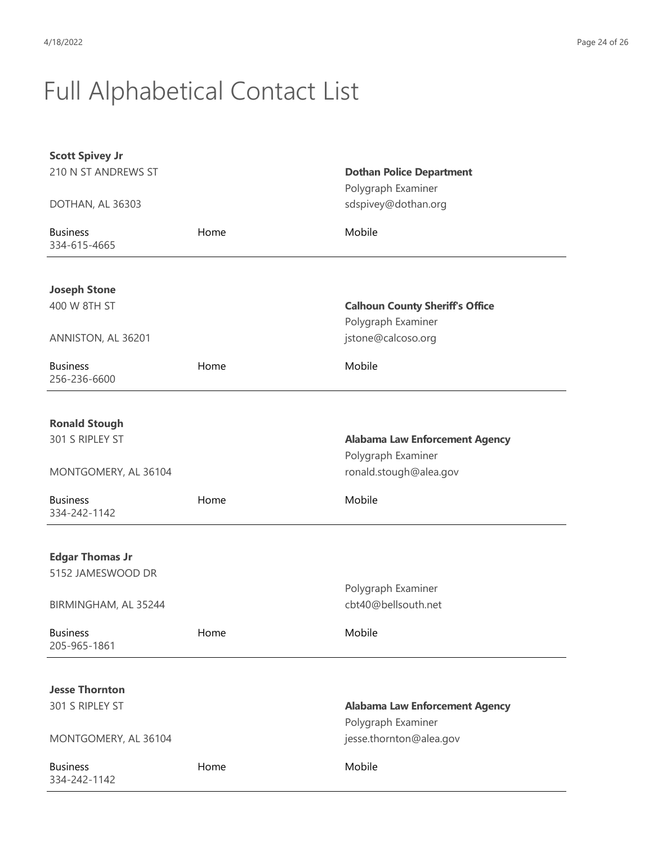| 210 N ST ANDREWS ST<br><b>Dothan Police Department</b><br>Polygraph Examiner<br>sdspivey@dothan.org<br>DOTHAN, AL 36303<br>Mobile<br><b>Business</b><br>Home<br>334-615-4665<br><b>Joseph Stone</b><br>400 W 8TH ST<br><b>Calhoun County Sheriff's Office</b><br>Polygraph Examiner<br>jstone@calcoso.org<br>ANNISTON, AL 36201<br>Mobile<br><b>Business</b><br>Home<br>256-236-6600<br><b>Ronald Stough</b><br>301 S RIPLEY ST<br><b>Alabama Law Enforcement Agency</b><br>Polygraph Examiner<br>ronald.stough@alea.gov<br>MONTGOMERY, AL 36104<br>Mobile<br><b>Business</b><br>Home<br>334-242-1142<br><b>Edgar Thomas Jr</b><br>5152 JAMESWOOD DR<br>Polygraph Examiner |
|----------------------------------------------------------------------------------------------------------------------------------------------------------------------------------------------------------------------------------------------------------------------------------------------------------------------------------------------------------------------------------------------------------------------------------------------------------------------------------------------------------------------------------------------------------------------------------------------------------------------------------------------------------------------------|
|                                                                                                                                                                                                                                                                                                                                                                                                                                                                                                                                                                                                                                                                            |
|                                                                                                                                                                                                                                                                                                                                                                                                                                                                                                                                                                                                                                                                            |
|                                                                                                                                                                                                                                                                                                                                                                                                                                                                                                                                                                                                                                                                            |
|                                                                                                                                                                                                                                                                                                                                                                                                                                                                                                                                                                                                                                                                            |
|                                                                                                                                                                                                                                                                                                                                                                                                                                                                                                                                                                                                                                                                            |
|                                                                                                                                                                                                                                                                                                                                                                                                                                                                                                                                                                                                                                                                            |
|                                                                                                                                                                                                                                                                                                                                                                                                                                                                                                                                                                                                                                                                            |
|                                                                                                                                                                                                                                                                                                                                                                                                                                                                                                                                                                                                                                                                            |
|                                                                                                                                                                                                                                                                                                                                                                                                                                                                                                                                                                                                                                                                            |
|                                                                                                                                                                                                                                                                                                                                                                                                                                                                                                                                                                                                                                                                            |
|                                                                                                                                                                                                                                                                                                                                                                                                                                                                                                                                                                                                                                                                            |
|                                                                                                                                                                                                                                                                                                                                                                                                                                                                                                                                                                                                                                                                            |
|                                                                                                                                                                                                                                                                                                                                                                                                                                                                                                                                                                                                                                                                            |
|                                                                                                                                                                                                                                                                                                                                                                                                                                                                                                                                                                                                                                                                            |
|                                                                                                                                                                                                                                                                                                                                                                                                                                                                                                                                                                                                                                                                            |
|                                                                                                                                                                                                                                                                                                                                                                                                                                                                                                                                                                                                                                                                            |
|                                                                                                                                                                                                                                                                                                                                                                                                                                                                                                                                                                                                                                                                            |
|                                                                                                                                                                                                                                                                                                                                                                                                                                                                                                                                                                                                                                                                            |
|                                                                                                                                                                                                                                                                                                                                                                                                                                                                                                                                                                                                                                                                            |
|                                                                                                                                                                                                                                                                                                                                                                                                                                                                                                                                                                                                                                                                            |
|                                                                                                                                                                                                                                                                                                                                                                                                                                                                                                                                                                                                                                                                            |
|                                                                                                                                                                                                                                                                                                                                                                                                                                                                                                                                                                                                                                                                            |
|                                                                                                                                                                                                                                                                                                                                                                                                                                                                                                                                                                                                                                                                            |
|                                                                                                                                                                                                                                                                                                                                                                                                                                                                                                                                                                                                                                                                            |
| cbt40@bellsouth.net<br>BIRMINGHAM, AL 35244                                                                                                                                                                                                                                                                                                                                                                                                                                                                                                                                                                                                                                |
| Mobile<br><b>Business</b><br>Home                                                                                                                                                                                                                                                                                                                                                                                                                                                                                                                                                                                                                                          |
| 205-965-1861                                                                                                                                                                                                                                                                                                                                                                                                                                                                                                                                                                                                                                                               |
|                                                                                                                                                                                                                                                                                                                                                                                                                                                                                                                                                                                                                                                                            |
| <b>Jesse Thornton</b>                                                                                                                                                                                                                                                                                                                                                                                                                                                                                                                                                                                                                                                      |
| 301 S RIPLEY ST<br><b>Alabama Law Enforcement Agency</b>                                                                                                                                                                                                                                                                                                                                                                                                                                                                                                                                                                                                                   |
| Polygraph Examiner                                                                                                                                                                                                                                                                                                                                                                                                                                                                                                                                                                                                                                                         |
| jesse.thornton@alea.gov<br>MONTGOMERY, AL 36104                                                                                                                                                                                                                                                                                                                                                                                                                                                                                                                                                                                                                            |
|                                                                                                                                                                                                                                                                                                                                                                                                                                                                                                                                                                                                                                                                            |
| Mobile<br><b>Business</b><br>Home<br>334-242-1142                                                                                                                                                                                                                                                                                                                                                                                                                                                                                                                                                                                                                          |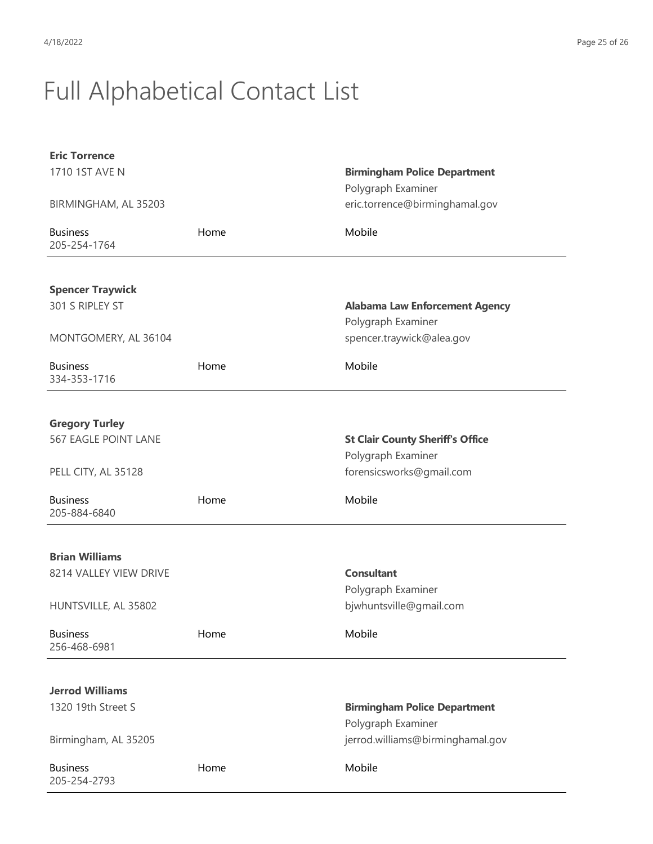| <b>Eric Torrence</b>            |      |                                                      |
|---------------------------------|------|------------------------------------------------------|
| 1710 1ST AVE N                  |      | <b>Birmingham Police Department</b>                  |
| BIRMINGHAM, AL 35203            |      | Polygraph Examiner<br>eric.torrence@birminghamal.gov |
|                                 |      |                                                      |
| <b>Business</b><br>205-254-1764 | Home | Mobile                                               |
|                                 |      |                                                      |
| <b>Spencer Traywick</b>         |      |                                                      |
| 301 S RIPLEY ST                 |      | <b>Alabama Law Enforcement Agency</b>                |
|                                 |      | Polygraph Examiner                                   |
| MONTGOMERY, AL 36104            |      | spencer.traywick@alea.gov                            |
| <b>Business</b><br>334-353-1716 | Home | Mobile                                               |
|                                 |      |                                                      |
| <b>Gregory Turley</b>           |      |                                                      |
| <b>567 EAGLE POINT LANE</b>     |      | <b>St Clair County Sheriff's Office</b>              |
|                                 |      | Polygraph Examiner                                   |
| PELL CITY, AL 35128             |      | forensicsworks@gmail.com                             |
| <b>Business</b><br>205-884-6840 | Home | Mobile                                               |
|                                 |      |                                                      |
| <b>Brian Williams</b>           |      |                                                      |
| 8214 VALLEY VIEW DRIVE          |      | <b>Consultant</b>                                    |
|                                 |      | Polygraph Examiner                                   |
| HUNTSVILLE, AL 35802            |      | bjwhuntsville@gmail.com                              |
| <b>Business</b><br>256-468-6981 | Home | Mobile                                               |
|                                 |      |                                                      |
| <b>Jerrod Williams</b>          |      |                                                      |
| 1320 19th Street S              |      | <b>Birmingham Police Department</b>                  |
|                                 |      | Polygraph Examiner                                   |
| Birmingham, AL 35205            |      | jerrod.williams@birminghamal.gov                     |
| <b>Business</b><br>205-254-2793 | Home | Mobile                                               |